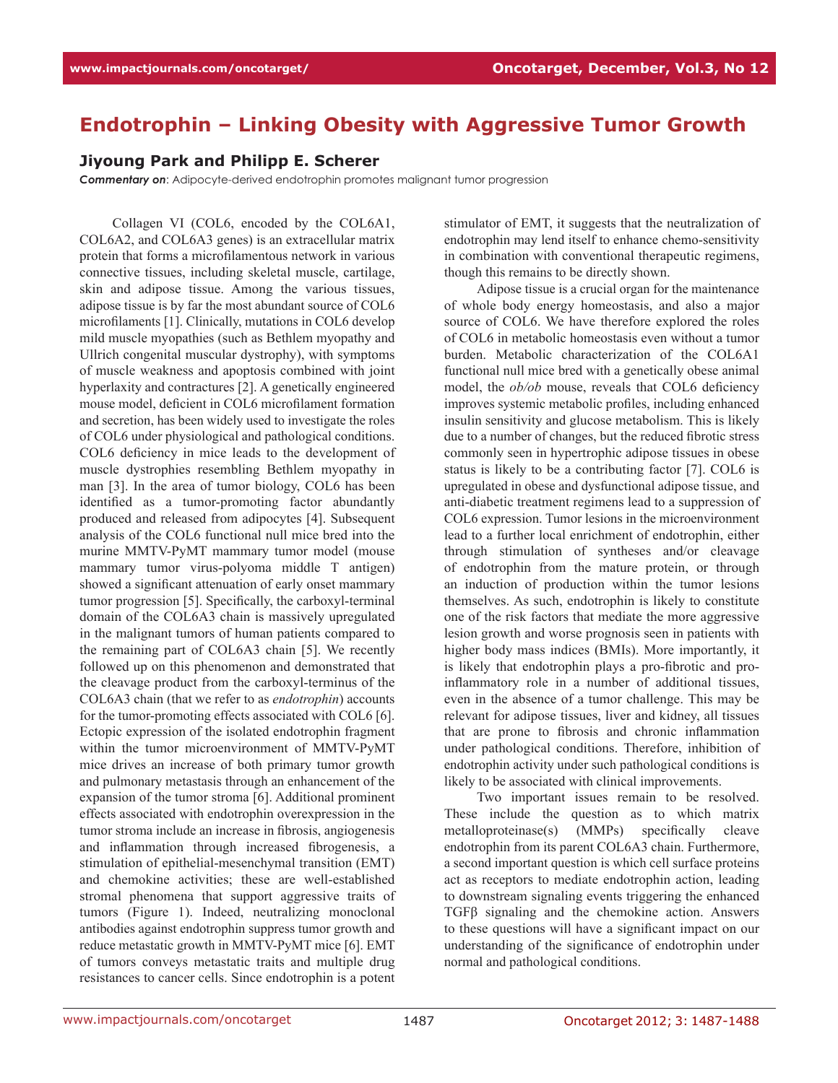## **Endotrophin – Linking Obesity with Aggressive Tumor Growth**

## **Jiyoung Park and Philipp E. Scherer**

*Commentary on*: Adipocyte-derived endotrophin promotes malignant tumor progression

Collagen VI (COL6, encoded by the COL6A1, COL6A2, and COL6A3 genes) is an extracellular matrix protein that forms a microfilamentous network in various connective tissues, including skeletal muscle, cartilage, skin and adipose tissue. Among the various tissues, adipose tissue is by far the most abundant source of COL6 microfilaments [1]. Clinically, mutations in COL6 develop mild muscle myopathies (such as Bethlem myopathy and Ullrich congenital muscular dystrophy), with symptoms of muscle weakness and apoptosis combined with joint hyperlaxity and contractures [2]. A genetically engineered mouse model, deficient in COL6 microfilament formation and secretion, has been widely used to investigate the roles of COL6 under physiological and pathological conditions. COL6 deficiency in mice leads to the development of muscle dystrophies resembling Bethlem myopathy in man [3]. In the area of tumor biology, COL6 has been identified as a tumor-promoting factor abundantly produced and released from adipocytes [4]. Subsequent analysis of the COL6 functional null mice bred into the murine MMTV-PyMT mammary tumor model (mouse mammary tumor virus-polyoma middle T antigen) showed a significant attenuation of early onset mammary tumor progression [5]. Specifically, the carboxyl-terminal domain of the COL6A3 chain is massively upregulated in the malignant tumors of human patients compared to the remaining part of COL6A3 chain [5]. We recently followed up on this phenomenon and demonstrated that the cleavage product from the carboxyl-terminus of the COL6A3 chain (that we refer to as *endotrophin*) accounts for the tumor-promoting effects associated with COL6 [6]. Ectopic expression of the isolated endotrophin fragment within the tumor microenvironment of MMTV-PyMT mice drives an increase of both primary tumor growth and pulmonary metastasis through an enhancement of the expansion of the tumor stroma [6]. Additional prominent effects associated with endotrophin overexpression in the tumor stroma include an increase in fibrosis, angiogenesis and inflammation through increased fibrogenesis, a stimulation of epithelial-mesenchymal transition (EMT) and chemokine activities; these are well-established stromal phenomena that support aggressive traits of tumors (Figure 1). Indeed, neutralizing monoclonal antibodies against endotrophin suppress tumor growth and reduce metastatic growth in MMTV-PyMT mice [6]. EMT of tumors conveys metastatic traits and multiple drug resistances to cancer cells. Since endotrophin is a potent

stimulator of EMT, it suggests that the neutralization of endotrophin may lend itself to enhance chemo-sensitivity in combination with conventional therapeutic regimens, though this remains to be directly shown.

Adipose tissue is a crucial organ for the maintenance of whole body energy homeostasis, and also a major source of COL6. We have therefore explored the roles of COL6 in metabolic homeostasis even without a tumor burden. Metabolic characterization of the COL6A1 functional null mice bred with a genetically obese animal model, the *ob/ob* mouse, reveals that COL6 deficiency improves systemic metabolic profiles, including enhanced insulin sensitivity and glucose metabolism. This is likely due to a number of changes, but the reduced fibrotic stress commonly seen in hypertrophic adipose tissues in obese status is likely to be a contributing factor [7]. COL6 is upregulated in obese and dysfunctional adipose tissue, and anti-diabetic treatment regimens lead to a suppression of COL6 expression. Tumor lesions in the microenvironment lead to a further local enrichment of endotrophin, either through stimulation of syntheses and/or cleavage of endotrophin from the mature protein, or through an induction of production within the tumor lesions themselves. As such, endotrophin is likely to constitute one of the risk factors that mediate the more aggressive lesion growth and worse prognosis seen in patients with higher body mass indices (BMIs). More importantly, it is likely that endotrophin plays a pro-fibrotic and proinflammatory role in a number of additional tissues, even in the absence of a tumor challenge. This may be relevant for adipose tissues, liver and kidney, all tissues that are prone to fibrosis and chronic inflammation under pathological conditions. Therefore, inhibition of endotrophin activity under such pathological conditions is likely to be associated with clinical improvements.

Two important issues remain to be resolved. These include the question as to which matrix metalloproteinase(s) (MMPs) specifically cleave endotrophin from its parent COL6A3 chain. Furthermore, a second important question is which cell surface proteins act as receptors to mediate endotrophin action, leading to downstream signaling events triggering the enhanced TGFβ signaling and the chemokine action. Answers to these questions will have a significant impact on our understanding of the significance of endotrophin under normal and pathological conditions.